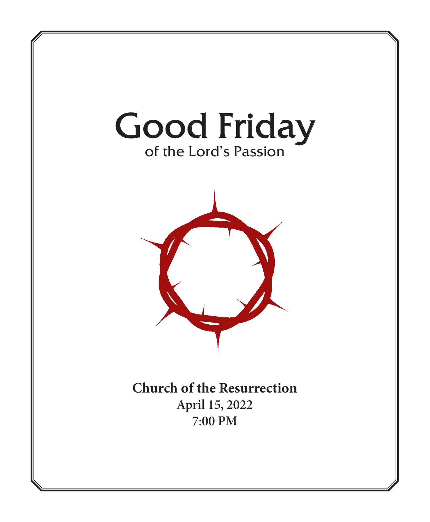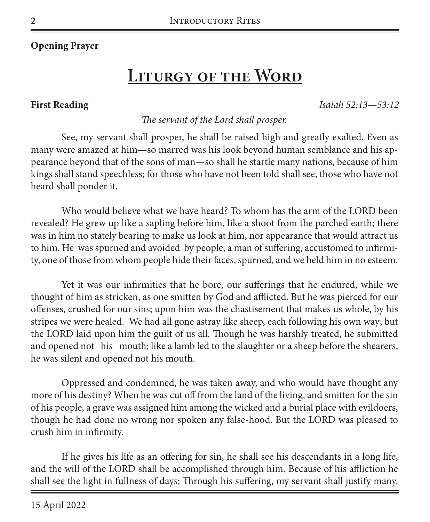# **Opening Prayer**

# **Liturgy of the Word**

**First Reading** *Isaiah 52:13—53:12*

*The servant of the Lord shall prosper.*

See, my servant shall prosper, he shall be raised high and greatly exalted. Even as many were amazed at him—so marred was his look beyond human semblance and his appearance beyond that of the sons of man—so shall he startle many nations, because of him kings shall stand speechless; for those who have not been told shall see, those who have not heard shall ponder it.

Who would believe what we have heard? To whom has the arm of the LORD been revealed? He grew up like a sapling before him, like a shoot from the parched earth; there was in him no stately bearing to make us look at him, nor appearance that would attract us to him. He was spurned and avoided by people, a man of suffering, accustomed to infirmity, one of those from whom people hide their faces, spurned, and we held him in no esteem.

Yet it was our infirmities that he bore, our sufferings that he endured, while we thought of him as stricken, as one smitten by God and afflicted. But he was pierced for our offenses, crushed for our sins; upon him was the chastisement that makes us whole, by his stripes we were healed. We had all gone astray like sheep, each following his own way; but the LORD laid upon him the guilt of us all. Though he was harshly treated, he submitted and opened not his mouth; like a lamb led to the slaughter or a sheep before the shearers, he was silent and opened not his mouth.

Oppressed and condemned, he was taken away, and who would have thought any more of his destiny? When he was cut off from the land of the living, and smitten for the sin of his people, a grave was assigned him among the wicked and a burial place with evildoers, though he had done no wrong nor spoken any false-hood. But the LORD was pleased to crush him in infirmity.

If he gives his life as an offering for sin, he shall see his descendants in a long life, and the will of the LORD shall be accomplished through him. Because of his affliction he shall see the light in fullness of days; Through his suffering, my servant shall justify many,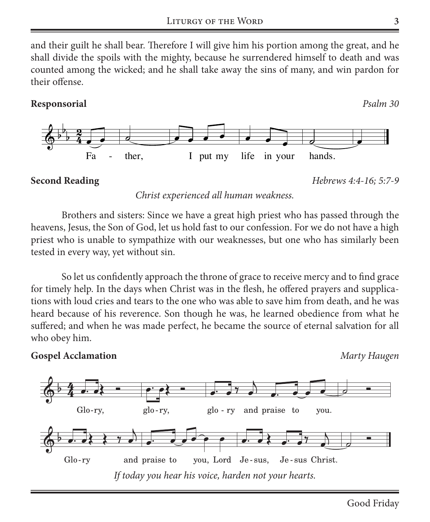and their guilt he shall bear. Therefore I will give him his portion among the great, and he shall divide the spoils with the mighty, because he surrendered himself to death and was counted among the wicked; and he shall take away the sins of many, and win pardon for their offense.

Psalm 31: I Put My Life in Your Hands

## **Responsorial** *Psalm 30*

 $\overline{\mathbb{P}}$ �  $\frac{2}{4}$  $\frac{2}{4}$ 

**Second Reading** *Hebrews 4:4-16; 5:7-9*

�

## **Second Reading**

F<sub>a</sub>

 $\overline{\mathbf{a}}$ 

ther,

Christ experienced all human weakness *Christ experienced all human weakness.* 

 $\bullet$   $\bullet$   $\bullet$ 

I put my

 $\overline{\phantom{a}}$ life in your

 $\overline{\phantom{a}}$ hands.

20011010 and shottle, once we have a great high pricet who has heavens, Jesus, the Son of God, let us hold fast to our confession. For we do not have a high tested in every way, yet without sin. Let your face shine upon your servant, Lord, in your hands I will place my life. Brothers and sisters: Since we have a great high priest who has passed through the priest who is unable to sympathize with our weaknesses, but one who has similarly been

 $T$ ext: Psalm 31:2, 12-16, 17; Marty Haugen,  $\frac{1}{2}$ for timely help. In the days when Christ was in the flesh, he offered prayers and supplicasuffered; and when he was made perfect, he became the source of eternal salvation for all So let us confidently approach the throne of grace to receive mercy and to find grace tions with loud cries and tears to the one who was able to save him from death, and he was heard because of his reverence. Son though he was, he learned obedience from what he who obey him.

 $\frac{1}{2}$ 

 $\theta$ ,  $\theta$ ,  $\theta$ 

 $\cdot$   $\cdot$   $\cdot$   $\cdot$   $\cdot$ 

 $\overline{\phantom{a}}$ 

Je-sus, Christ.

glo ry and praise to you.

 $\frac{1}{2}$ 

 $\overline{a}$   $\overline{a}$   $\overline{a}$   $\overline{a}$   $\overline{a}$   $\overline{a}$   $\overline{a}$ 

-ry and praise to you, Lord Je-sus, Je-

-ry, glo-ry, glo-

 $\overline{\phantom{a}}$ 

Glo-ry and praise to

# **Gospel Acclamation** *Marty Haugen*

Glo ry,

 $65.777$ 

 $\oint_0$ 

 $\circ$  -

 $\circ$ 

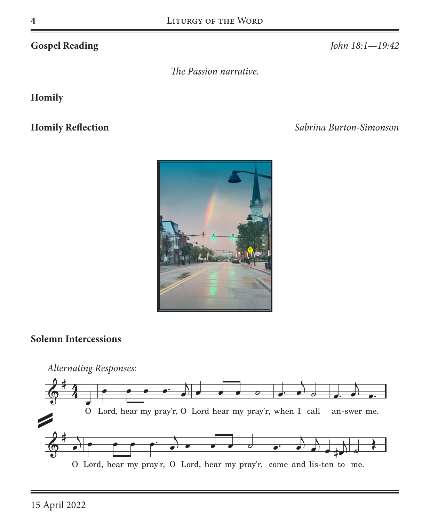**Gospel Reading** *John 18:1—19:42*

*The Passion narrative.*

**Homily**

**Homily Reflection** *Sabrina Burton-Simonson*



## **Solemn Intercessions**

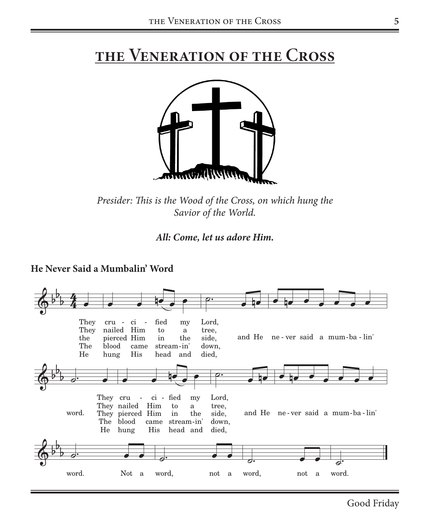# **the Veneration of the Cross**



*Presider: This is the Wood of the Cross, on which hung the Savior of the World.*

*All: Come, let us adore Him.*

### **He Never Said a Mumbalin' Word**



Good Friday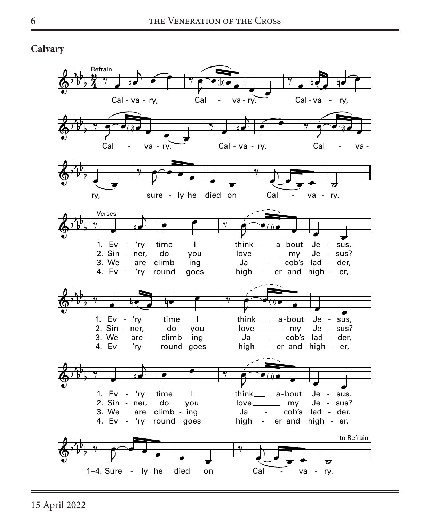**CALVARY** 

**Calvary**



Text and music: Spiritual.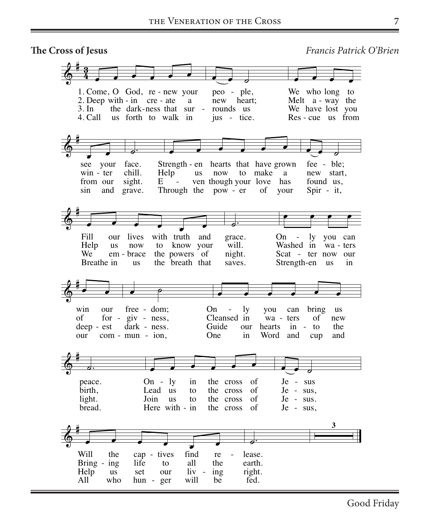**The Cross of Jesus** *Francis Patrick O'Brien*

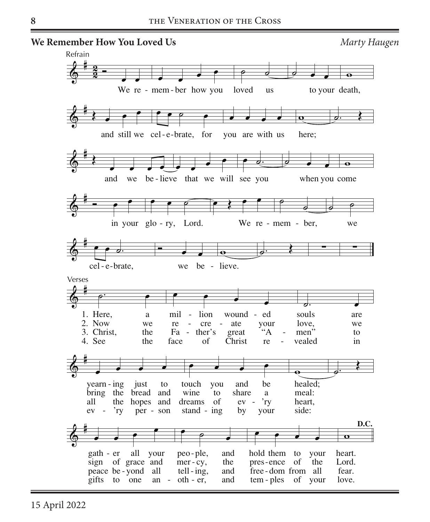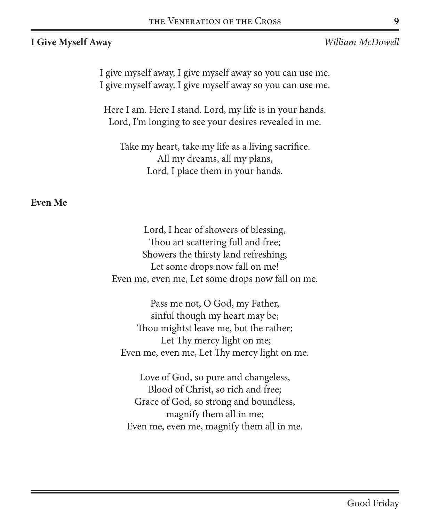### **I Give Myself Away** *William McDowell*

I give myself away, I give myself away so you can use me. I give myself away, I give myself away so you can use me.

Here I am. Here I stand. Lord, my life is in your hands. Lord, I'm longing to see your desires revealed in me.

Take my heart, take my life as a living sacrifice. All my dreams, all my plans, Lord, I place them in your hands.

### **Even Me**

Lord, I hear of showers of blessing, Thou art scattering full and free; Showers the thirsty land refreshing; Let some drops now fall on me! Even me, even me, Let some drops now fall on me.

Pass me not, O God, my Father, sinful though my heart may be; Thou mightst leave me, but the rather; Let Thy mercy light on me; Even me, even me, Let Thy mercy light on me.

Love of God, so pure and changeless, Blood of Christ, so rich and free; Grace of God, so strong and boundless, magnify them all in me; Even me, even me, magnify them all in me.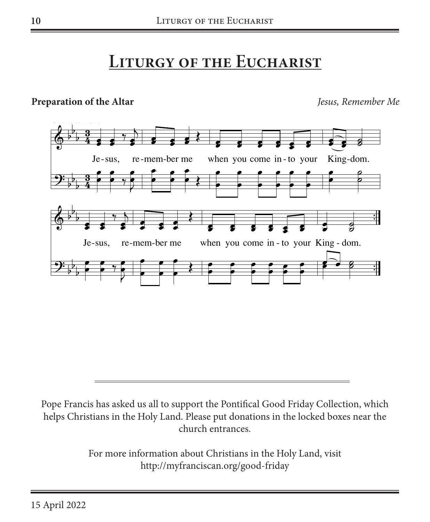# **LITURGY OF THE EUCHARIST**

## **Preparation of the Altar** *Jesus, Remember Me*



Pope Francis has asked us all to support the Pontifical Good Friday Collection, which helps Christians in the Holy Land. Please put donations in the locked boxes near the church entrances.

> For more information about Christians in the Holy Land, visit http://myfranciscan.org/good-friday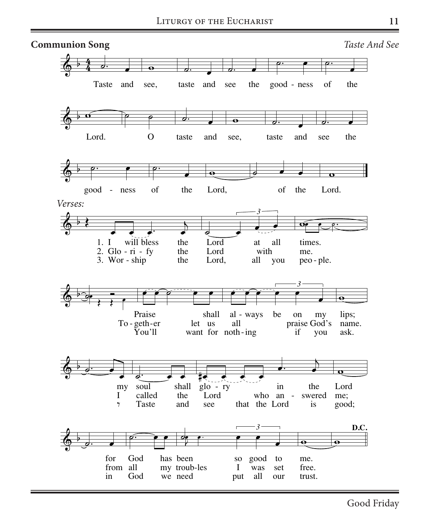